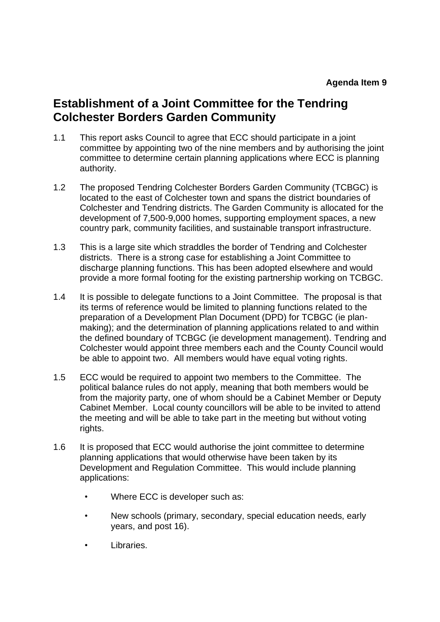# **Establishment of a Joint Committee for the Tendring Colchester Borders Garden Community**

- 1.1 This report asks Council to agree that ECC should participate in a joint committee by appointing two of the nine members and by authorising the joint committee to determine certain planning applications where ECC is planning authority.
- 1.2 The proposed Tendring Colchester Borders Garden Community (TCBGC) is located to the east of Colchester town and spans the district boundaries of Colchester and Tendring districts. The Garden Community is allocated for the development of 7,500-9,000 homes, supporting employment spaces, a new country park, community facilities, and sustainable transport infrastructure.
- 1.3 This is a large site which straddles the border of Tendring and Colchester districts. There is a strong case for establishing a Joint Committee to discharge planning functions. This has been adopted elsewhere and would provide a more formal footing for the existing partnership working on TCBGC.
- 1.4 It is possible to delegate functions to a Joint Committee. The proposal is that its terms of reference would be limited to planning functions related to the preparation of a Development Plan Document (DPD) for TCBGC (ie planmaking); and the determination of planning applications related to and within the defined boundary of TCBGC (ie development management). Tendring and Colchester would appoint three members each and the County Council would be able to appoint two. All members would have equal voting rights.
- 1.5 ECC would be required to appoint two members to the Committee. The political balance rules do not apply, meaning that both members would be from the majority party, one of whom should be a Cabinet Member or Deputy Cabinet Member. Local county councillors will be able to be invited to attend the meeting and will be able to take part in the meeting but without voting rights.
- 1.6 It is proposed that ECC would authorise the joint committee to determine planning applications that would otherwise have been taken by its Development and Regulation Committee. This would include planning applications:
	- Where ECC is developer such as:
	- New schools (primary, secondary, special education needs, early years, and post 16).
	- Libraries.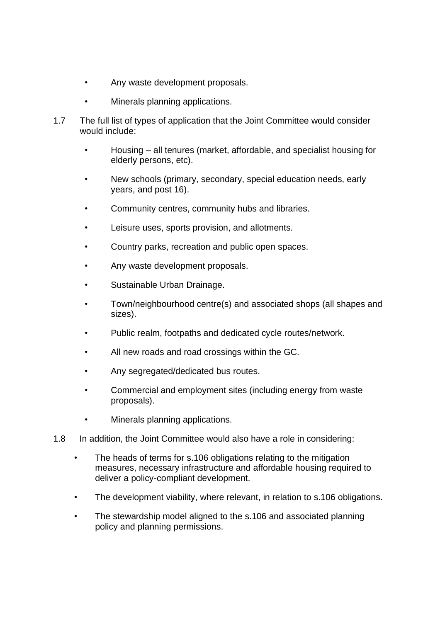- Any waste development proposals.
- Minerals planning applications.
- 1.7 The full list of types of application that the Joint Committee would consider would include:
	- Housing all tenures (market, affordable, and specialist housing for elderly persons, etc).
	- New schools (primary, secondary, special education needs, early years, and post 16).
	- Community centres, community hubs and libraries.
	- Leisure uses, sports provision, and allotments.
	- Country parks, recreation and public open spaces.
	- Any waste development proposals.
	- Sustainable Urban Drainage.
	- Town/neighbourhood centre(s) and associated shops (all shapes and sizes).
	- Public realm, footpaths and dedicated cycle routes/network.
	- All new roads and road crossings within the GC.
	- Any segregated/dedicated bus routes.
	- Commercial and employment sites (including energy from waste proposals).
	- Minerals planning applications.
- 1.8 In addition, the Joint Committee would also have a role in considering:
	- The heads of terms for s.106 obligations relating to the mitigation measures, necessary infrastructure and affordable housing required to deliver a policy-compliant development.
	- The development viability, where relevant, in relation to s.106 obligations.
	- The stewardship model aligned to the s.106 and associated planning policy and planning permissions.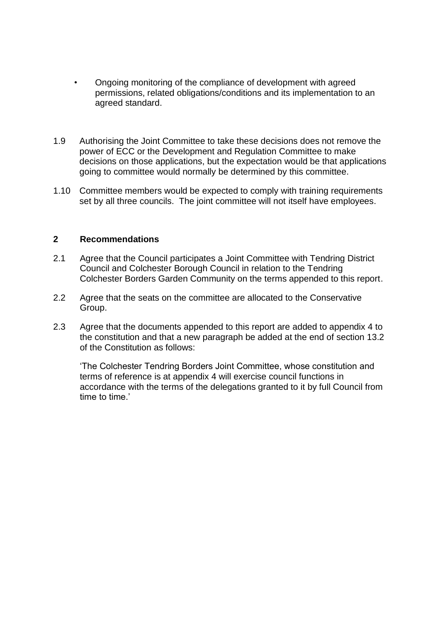- Ongoing monitoring of the compliance of development with agreed permissions, related obligations/conditions and its implementation to an agreed standard.
- 1.9 Authorising the Joint Committee to take these decisions does not remove the power of ECC or the Development and Regulation Committee to make decisions on those applications, but the expectation would be that applications going to committee would normally be determined by this committee.
- 1.10 Committee members would be expected to comply with training requirements set by all three councils. The joint committee will not itself have employees.

#### **2 Recommendations**

- 2.1 Agree that the Council participates a Joint Committee with Tendring District Council and Colchester Borough Council in relation to the Tendring Colchester Borders Garden Community on the terms appended to this report.
- 2.2 Agree that the seats on the committee are allocated to the Conservative Group.
- 2.3 Agree that the documents appended to this report are added to appendix 4 to the constitution and that a new paragraph be added at the end of section 13.2 of the Constitution as follows:

'The Colchester Tendring Borders Joint Committee, whose constitution and terms of reference is at appendix 4 will exercise council functions in accordance with the terms of the delegations granted to it by full Council from time to time.'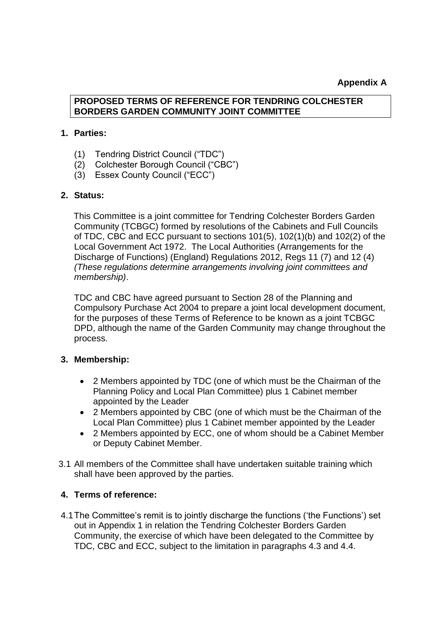#### **Appendix A**

## **PROPOSED TERMS OF REFERENCE FOR TENDRING COLCHESTER BORDERS GARDEN COMMUNITY JOINT COMMITTEE**

#### **1. Parties:**

- (1) Tendring District Council ("TDC")
- (2) Colchester Borough Council ("CBC")
- (3) Essex County Council ("ECC")

#### **2. Status:**

This Committee is a joint committee for Tendring Colchester Borders Garden Community (TCBGC) formed by resolutions of the Cabinets and Full Councils of TDC, CBC and ECC pursuant to sections 101(5), 102(1)(b) and 102(2) of the Local Government Act 1972. The Local Authorities (Arrangements for the Discharge of Functions) (England) Regulations 2012, Regs 11 (7) and 12 (4) *(These regulations determine arrangements involving joint committees and membership)*.

TDC and CBC have agreed pursuant to Section 28 of the Planning and Compulsory Purchase Act 2004 to prepare a joint local development document, for the purposes of these Terms of Reference to be known as a joint TCBGC DPD, although the name of the Garden Community may change throughout the process.

#### **3. Membership:**

- 2 Members appointed by TDC (one of which must be the Chairman of the Planning Policy and Local Plan Committee) plus 1 Cabinet member appointed by the Leader
- 2 Members appointed by CBC (one of which must be the Chairman of the Local Plan Committee) plus 1 Cabinet member appointed by the Leader
- 2 Members appointed by ECC, one of whom should be a Cabinet Member or Deputy Cabinet Member.
- 3.1 All members of the Committee shall have undertaken suitable training which shall have been approved by the parties.

#### **4. Terms of reference:**

4.1The Committee's remit is to jointly discharge the functions ('the Functions') set out in Appendix 1 in relation the Tendring Colchester Borders Garden Community, the exercise of which have been delegated to the Committee by TDC, CBC and ECC, subject to the limitation in paragraphs 4.3 and 4.4.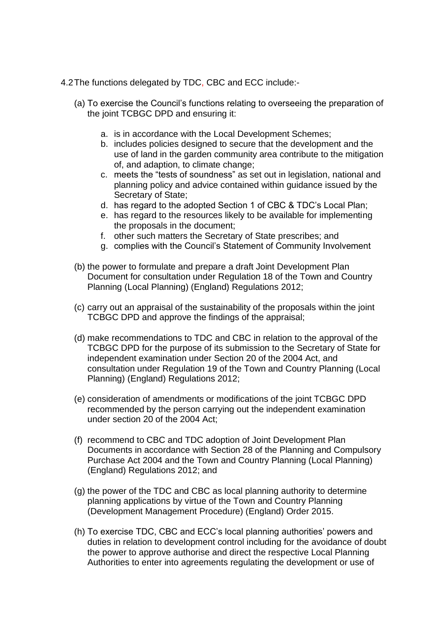- 4.2The functions delegated by TDC, CBC and ECC include:-
	- (a) To exercise the Council's functions relating to overseeing the preparation of the joint TCBGC DPD and ensuring it:
		- a. is in accordance with the Local Development Schemes;
		- b. includes policies designed to secure that the development and the use of land in the garden community area contribute to the mitigation of, and adaption, to climate change;
		- c. meets the "tests of soundness" as set out in legislation, national and planning policy and advice contained within guidance issued by the Secretary of State;
		- d. has regard to the adopted Section 1 of CBC & TDC's Local Plan;
		- e. has regard to the resources likely to be available for implementing the proposals in the document;
		- f. other such matters the Secretary of State prescribes; and
		- g. complies with the Council's Statement of Community Involvement
	- (b) the power to formulate and prepare a draft Joint Development Plan Document for consultation under Regulation 18 of the Town and Country Planning (Local Planning) (England) Regulations 2012;
	- (c) carry out an appraisal of the sustainability of the proposals within the joint TCBGC DPD and approve the findings of the appraisal;
	- (d) make recommendations to TDC and CBC in relation to the approval of the TCBGC DPD for the purpose of its submission to the Secretary of State for independent examination under Section 20 of the 2004 Act, and consultation under Regulation 19 of the Town and Country Planning (Local Planning) (England) Regulations 2012;
	- (e) consideration of amendments or modifications of the joint TCBGC DPD recommended by the person carrying out the independent examination under section 20 of the 2004 Act;
	- (f) recommend to CBC and TDC adoption of Joint Development Plan Documents in accordance with Section 28 of the Planning and Compulsory Purchase Act 2004 and the Town and Country Planning (Local Planning) (England) Regulations 2012; and
	- (g) the power of the TDC and CBC as local planning authority to determine planning applications by virtue of the Town and Country Planning (Development Management Procedure) (England) Order 2015.
	- (h) To exercise TDC, CBC and ECC's local planning authorities' powers and duties in relation to development control including for the avoidance of doubt the power to approve authorise and direct the respective Local Planning Authorities to enter into agreements regulating the development or use of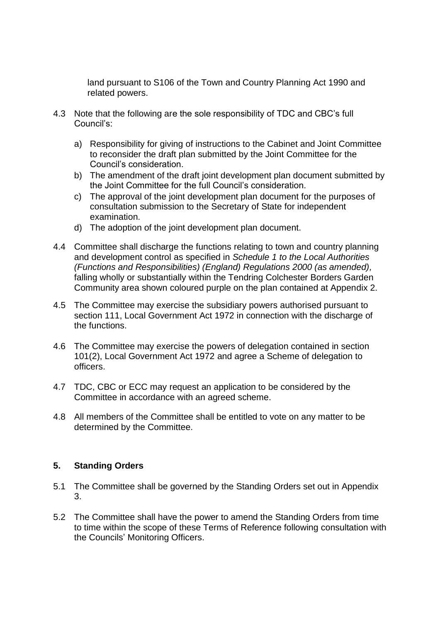land pursuant to S106 of the Town and Country Planning Act 1990 and related powers.

- 4.3 Note that the following are the sole responsibility of TDC and CBC's full Council's:
	- a) Responsibility for giving of instructions to the Cabinet and Joint Committee to reconsider the draft plan submitted by the Joint Committee for the Council's consideration.
	- b) The amendment of the draft joint development plan document submitted by the Joint Committee for the full Council's consideration.
	- c) The approval of the joint development plan document for the purposes of consultation submission to the Secretary of State for independent examination.
	- d) The adoption of the joint development plan document.
- 4.4 Committee shall discharge the functions relating to town and country planning and development control as specified in *Schedule 1 to the Local Authorities (Functions and Responsibilities) (England) Regulations 2000 (as amended),* falling wholly or substantially within the Tendring Colchester Borders Garden Community area shown coloured purple on the plan contained at Appendix 2.
- 4.5 The Committee may exercise the subsidiary powers authorised pursuant to section 111, Local Government Act 1972 in connection with the discharge of the functions.
- 4.6 The Committee may exercise the powers of delegation contained in section 101(2), Local Government Act 1972 and agree a Scheme of delegation to officers.
- 4.7 TDC, CBC or ECC may request an application to be considered by the Committee in accordance with an agreed scheme.
- 4.8 All members of the Committee shall be entitled to vote on any matter to be determined by the Committee.

#### **5. Standing Orders**

- 5.1 The Committee shall be governed by the Standing Orders set out in Appendix 3.
- 5.2 The Committee shall have the power to amend the Standing Orders from time to time within the scope of these Terms of Reference following consultation with the Councils' Monitoring Officers.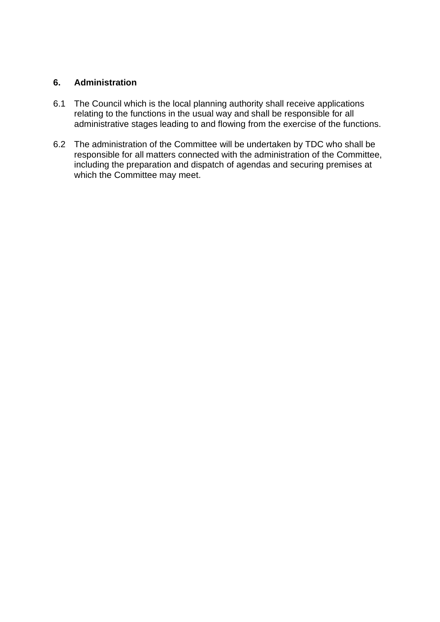## **6. Administration**

- 6.1 The Council which is the local planning authority shall receive applications relating to the functions in the usual way and shall be responsible for all administrative stages leading to and flowing from the exercise of the functions.
- 6.2 The administration of the Committee will be undertaken by TDC who shall be responsible for all matters connected with the administration of the Committee, including the preparation and dispatch of agendas and securing premises at which the Committee may meet.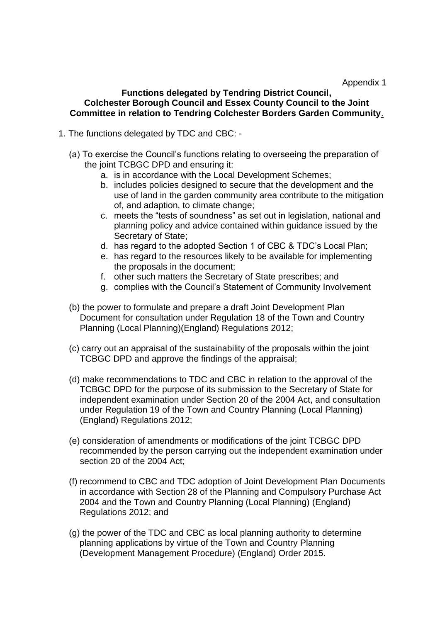#### **Functions delegated by Tendring District Council, Colchester Borough Council and Essex County Council to the Joint Committee in relation to Tendring Colchester Borders Garden Community**.

- 1. The functions delegated by TDC and CBC:
	- (a) To exercise the Council's functions relating to overseeing the preparation of the joint TCBGC DPD and ensuring it:
		- a. is in accordance with the Local Development Schemes;
		- b. includes policies designed to secure that the development and the use of land in the garden community area contribute to the mitigation of, and adaption, to climate change;
		- c. meets the "tests of soundness" as set out in legislation, national and planning policy and advice contained within guidance issued by the Secretary of State;
		- d. has regard to the adopted Section 1 of CBC & TDC's Local Plan;
		- e. has regard to the resources likely to be available for implementing the proposals in the document;
		- f. other such matters the Secretary of State prescribes; and
		- g. complies with the Council's Statement of Community Involvement
	- (b) the power to formulate and prepare a draft Joint Development Plan Document for consultation under Regulation 18 of the Town and Country Planning (Local Planning)(England) Regulations 2012;
	- (c) carry out an appraisal of the sustainability of the proposals within the joint TCBGC DPD and approve the findings of the appraisal;
	- (d) make recommendations to TDC and CBC in relation to the approval of the TCBGC DPD for the purpose of its submission to the Secretary of State for independent examination under Section 20 of the 2004 Act, and consultation under Regulation 19 of the Town and Country Planning (Local Planning) (England) Regulations 2012;
	- (e) consideration of amendments or modifications of the joint TCBGC DPD recommended by the person carrying out the independent examination under section 20 of the 2004 Act;
	- (f) recommend to CBC and TDC adoption of Joint Development Plan Documents in accordance with Section 28 of the Planning and Compulsory Purchase Act 2004 and the Town and Country Planning (Local Planning) (England) Regulations 2012; and
	- (g) the power of the TDC and CBC as local planning authority to determine planning applications by virtue of the Town and Country Planning (Development Management Procedure) (England) Order 2015.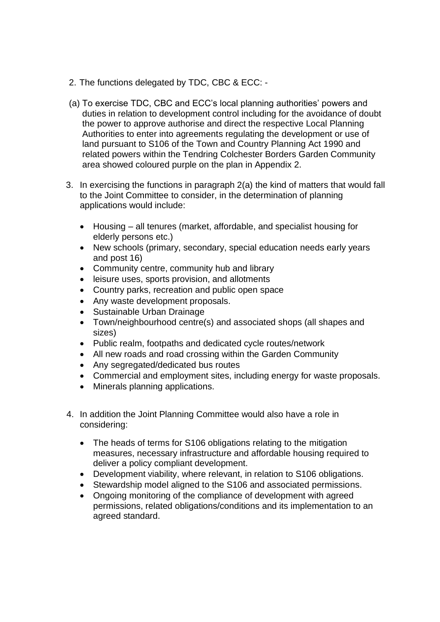- 2. The functions delegated by TDC, CBC & ECC: -
- (a) To exercise TDC, CBC and ECC's local planning authorities' powers and duties in relation to development control including for the avoidance of doubt the power to approve authorise and direct the respective Local Planning Authorities to enter into agreements regulating the development or use of land pursuant to S106 of the Town and Country Planning Act 1990 and related powers within the Tendring Colchester Borders Garden Community area showed coloured purple on the plan in Appendix 2.
- 3. In exercising the functions in paragraph 2(a) the kind of matters that would fall to the Joint Committee to consider, in the determination of planning applications would include:
	- Housing all tenures (market, affordable, and specialist housing for elderly persons etc.)
	- New schools (primary, secondary, special education needs early years and post 16)
	- Community centre, community hub and library
	- leisure uses, sports provision, and allotments
	- Country parks, recreation and public open space
	- Any waste development proposals.
	- Sustainable Urban Drainage
	- Town/neighbourhood centre(s) and associated shops (all shapes and sizes)
	- Public realm, footpaths and dedicated cycle routes/network
	- All new roads and road crossing within the Garden Community
	- Any segregated/dedicated bus routes
	- Commercial and employment sites, including energy for waste proposals.
	- Minerals planning applications.
- 4. In addition the Joint Planning Committee would also have a role in considering:
	- The heads of terms for S106 obligations relating to the mitigation measures, necessary infrastructure and affordable housing required to deliver a policy compliant development.
	- Development viability, where relevant, in relation to S106 obligations.
	- Stewardship model aligned to the S106 and associated permissions.
	- Ongoing monitoring of the compliance of development with agreed permissions, related obligations/conditions and its implementation to an agreed standard.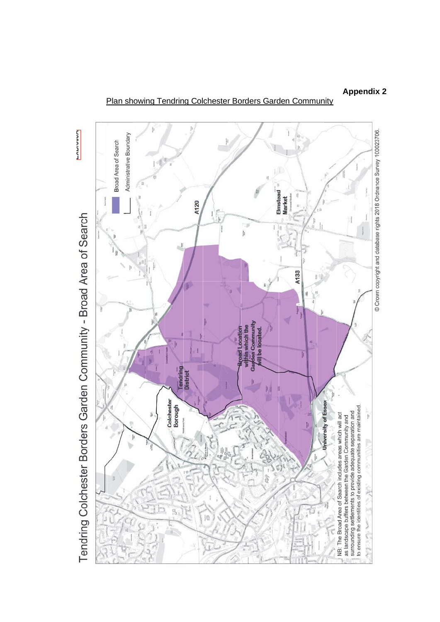PAPIVOR © Crown copyright and database rights 2018 Ordnance Survey 100023706. Administrative Boundary Broad Area of Search Elmstead<br>Market A120 Tendring Colchester Borders Garden Community - Broad Area of Search Įij h.  $\mathbf{H}$ a. A133 śi đ thin which the<br>den Community il be located. road Location ū **Tendring District** Colchester<br>Borough University of Essex surrounding settlements to provide adequate separation and<br>to ensure the identities of existing communities are maintained.  $\frac{1}{\pi}$ NB: The Broad Area of Search includes areas which will act as landscape buffers between the Garden Community and Þ Ŕ 邯 â í. ì  $\frac{12}{10}$ 顿  $\frac{1}{\sqrt{2}}\left( \frac{1}{\sqrt{2}}\right) ^{2}$ **POWERT START** 

#### Plan showing Tendring Colchester Borders Garden Community

**Appendix 2**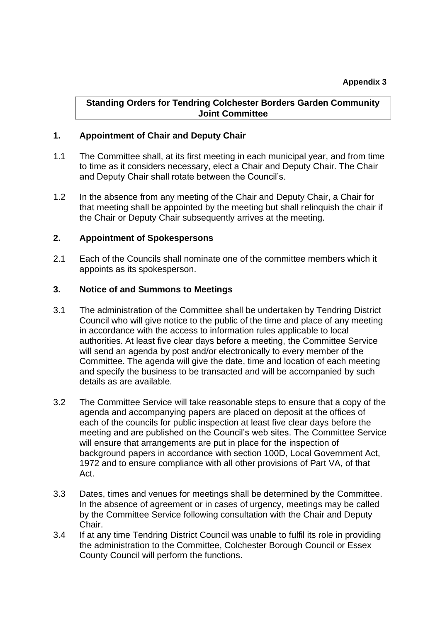#### **Standing Orders for Tendring Colchester Borders Garden Community Joint Committee**

## **1. Appointment of Chair and Deputy Chair**

- 1.1 The Committee shall, at its first meeting in each municipal year, and from time to time as it considers necessary, elect a Chair and Deputy Chair. The Chair and Deputy Chair shall rotate between the Council's.
- 1.2 In the absence from any meeting of the Chair and Deputy Chair, a Chair for that meeting shall be appointed by the meeting but shall relinquish the chair if the Chair or Deputy Chair subsequently arrives at the meeting.

#### **2. Appointment of Spokespersons**

2.1 Each of the Councils shall nominate one of the committee members which it appoints as its spokesperson.

#### **3. Notice of and Summons to Meetings**

- 3.1 The administration of the Committee shall be undertaken by Tendring District Council who will give notice to the public of the time and place of any meeting in accordance with the access to information rules applicable to local authorities. At least five clear days before a meeting, the Committee Service will send an agenda by post and/or electronically to every member of the Committee. The agenda will give the date, time and location of each meeting and specify the business to be transacted and will be accompanied by such details as are available.
- 3.2 The Committee Service will take reasonable steps to ensure that a copy of the agenda and accompanying papers are placed on deposit at the offices of each of the councils for public inspection at least five clear days before the meeting and are published on the Council's web sites. The Committee Service will ensure that arrangements are put in place for the inspection of background papers in accordance with section 100D, Local Government Act, 1972 and to ensure compliance with all other provisions of Part VA, of that Act.
- 3.3 Dates, times and venues for meetings shall be determined by the Committee. In the absence of agreement or in cases of urgency, meetings may be called by the Committee Service following consultation with the Chair and Deputy Chair.
- 3.4 If at any time Tendring District Council was unable to fulfil its role in providing the administration to the Committee, Colchester Borough Council or Essex County Council will perform the functions.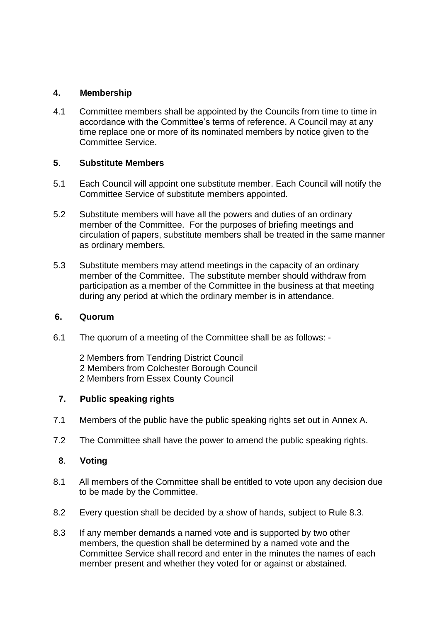## **4. Membership**

4.1 Committee members shall be appointed by the Councils from time to time in accordance with the Committee's terms of reference. A Council may at any time replace one or more of its nominated members by notice given to the Committee Service.

## **5**. **Substitute Members**

- 5.1 Each Council will appoint one substitute member. Each Council will notify the Committee Service of substitute members appointed.
- 5.2 Substitute members will have all the powers and duties of an ordinary member of the Committee. For the purposes of briefing meetings and circulation of papers, substitute members shall be treated in the same manner as ordinary members.
- 5.3 Substitute members may attend meetings in the capacity of an ordinary member of the Committee. The substitute member should withdraw from participation as a member of the Committee in the business at that meeting during any period at which the ordinary member is in attendance.

#### **6. Quorum**

- 6.1 The quorum of a meeting of the Committee shall be as follows:
	- 2 Members from Tendring District Council 2 Members from Colchester Borough Council 2 Members from Essex County Council

#### **7. Public speaking rights**

- 7.1 Members of the public have the public speaking rights set out in Annex A.
- 7.2 The Committee shall have the power to amend the public speaking rights.

# **8**. **Voting**

- 8.1 All members of the Committee shall be entitled to vote upon any decision due to be made by the Committee.
- 8.2 Every question shall be decided by a show of hands, subject to Rule 8.3.
- 8.3 If any member demands a named vote and is supported by two other members, the question shall be determined by a named vote and the Committee Service shall record and enter in the minutes the names of each member present and whether they voted for or against or abstained.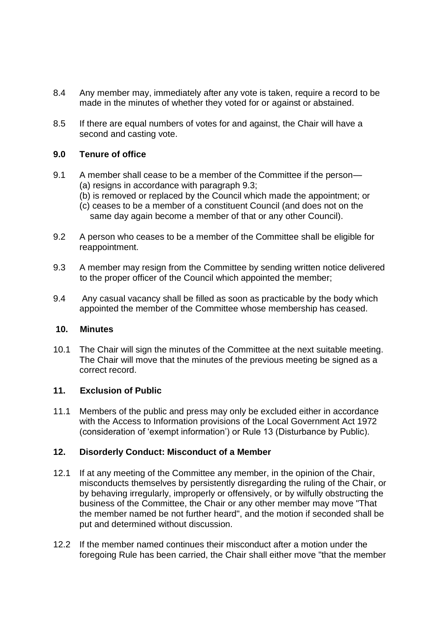- 8.4 Any member may, immediately after any vote is taken, require a record to be made in the minutes of whether they voted for or against or abstained.
- 8.5 If there are equal numbers of votes for and against, the Chair will have a second and casting vote.

#### **9.0 Tenure of office**

- 9.1 A member shall cease to be a member of the Committee if the person-(a) resigns in accordance with paragraph 9.3;
	- (b) is removed or replaced by the Council which made the appointment; or
	- (c) ceases to be a member of a constituent Council (and does not on the same day again become a member of that or any other Council).
- 9.2 A person who ceases to be a member of the Committee shall be eligible for reappointment.
- 9.3 A member may resign from the Committee by sending written notice delivered to the proper officer of the Council which appointed the member;
- 9.4 Any casual vacancy shall be filled as soon as practicable by the body which appointed the member of the Committee whose membership has ceased.

#### **10. Minutes**

10.1 The Chair will sign the minutes of the Committee at the next suitable meeting. The Chair will move that the minutes of the previous meeting be signed as a correct record.

#### **11. Exclusion of Public**

11.1 Members of the public and press may only be excluded either in accordance with the Access to Information provisions of the Local Government Act 1972 (consideration of 'exempt information') or Rule 13 (Disturbance by Public).

#### **12. Disorderly Conduct: Misconduct of a Member**

- 12.1 If at any meeting of the Committee any member, in the opinion of the Chair, misconducts themselves by persistently disregarding the ruling of the Chair, or by behaving irregularly, improperly or offensively, or by wilfully obstructing the business of the Committee, the Chair or any other member may move "That the member named be not further heard", and the motion if seconded shall be put and determined without discussion.
- 12.2 If the member named continues their misconduct after a motion under the foregoing Rule has been carried, the Chair shall either move "that the member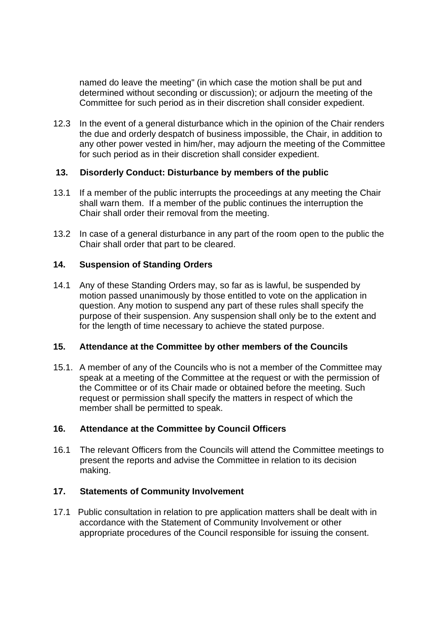named do leave the meeting" (in which case the motion shall be put and determined without seconding or discussion); or adjourn the meeting of the Committee for such period as in their discretion shall consider expedient.

12.3 In the event of a general disturbance which in the opinion of the Chair renders the due and orderly despatch of business impossible, the Chair, in addition to any other power vested in him/her, may adjourn the meeting of the Committee for such period as in their discretion shall consider expedient.

## **13. Disorderly Conduct: Disturbance by members of the public**

- 13.1 If a member of the public interrupts the proceedings at any meeting the Chair shall warn them. If a member of the public continues the interruption the Chair shall order their removal from the meeting.
- 13.2 In case of a general disturbance in any part of the room open to the public the Chair shall order that part to be cleared.

## **14. Suspension of Standing Orders**

14.1 Any of these Standing Orders may, so far as is lawful, be suspended by motion passed unanimously by those entitled to vote on the application in question. Any motion to suspend any part of these rules shall specify the purpose of their suspension. Any suspension shall only be to the extent and for the length of time necessary to achieve the stated purpose.

#### **15. Attendance at the Committee by other members of the Councils**

15.1. A member of any of the Councils who is not a member of the Committee may speak at a meeting of the Committee at the request or with the permission of the Committee or of its Chair made or obtained before the meeting. Such request or permission shall specify the matters in respect of which the member shall be permitted to speak.

#### **16. Attendance at the Committee by Council Officers**

16.1 The relevant Officers from the Councils will attend the Committee meetings to present the reports and advise the Committee in relation to its decision making.

# **17. Statements of Community Involvement**

17.1 Public consultation in relation to pre application matters shall be dealt with in accordance with the Statement of Community Involvement or other appropriate procedures of the Council responsible for issuing the consent.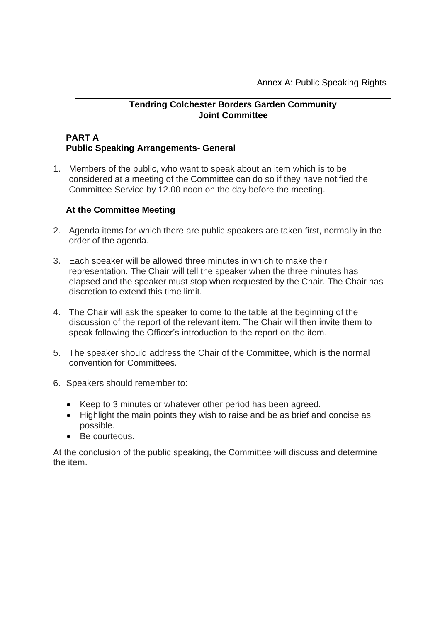## **Tendring Colchester Borders Garden Community Joint Committee**

# **PART A Public Speaking Arrangements- General**

1. Members of the public, who want to speak about an item which is to be considered at a meeting of the Committee can do so if they have notified the Committee Service by 12.00 noon on the day before the meeting.

## **At the Committee Meeting**

- 2. Agenda items for which there are public speakers are taken first, normally in the order of the agenda.
- 3. Each speaker will be allowed three minutes in which to make their representation. The Chair will tell the speaker when the three minutes has elapsed and the speaker must stop when requested by the Chair. The Chair has discretion to extend this time limit.
- 4. The Chair will ask the speaker to come to the table at the beginning of the discussion of the report of the relevant item. The Chair will then invite them to speak following the Officer's introduction to the report on the item.
- 5. The speaker should address the Chair of the Committee, which is the normal convention for Committees.
- 6. Speakers should remember to:
	- Keep to 3 minutes or whatever other period has been agreed.
	- Highlight the main points they wish to raise and be as brief and concise as possible.
	- Be courteous.

At the conclusion of the public speaking, the Committee will discuss and determine the item.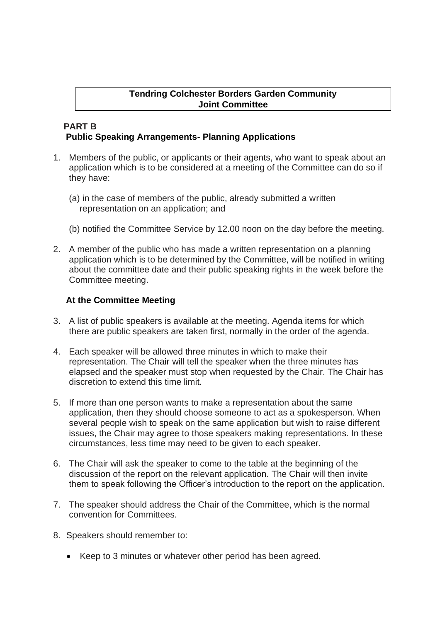# **Tendring Colchester Borders Garden Community Joint Committee**

#### **PART B Public Speaking Arrangements- Planning Applications**

- 1. Members of the public, or applicants or their agents, who want to speak about an application which is to be considered at a meeting of the Committee can do so if they have:
	- (a) in the case of members of the public, already submitted a written representation on an application; and
	- (b) notified the Committee Service by 12.00 noon on the day before the meeting.
- 2. A member of the public who has made a written representation on a planning application which is to be determined by the Committee, will be notified in writing about the committee date and their public speaking rights in the week before the Committee meeting.

## **At the Committee Meeting**

- 3. A list of public speakers is available at the meeting. Agenda items for which there are public speakers are taken first, normally in the order of the agenda.
- 4. Each speaker will be allowed three minutes in which to make their representation. The Chair will tell the speaker when the three minutes has elapsed and the speaker must stop when requested by the Chair. The Chair has discretion to extend this time limit.
- 5. If more than one person wants to make a representation about the same application, then they should choose someone to act as a spokesperson. When several people wish to speak on the same application but wish to raise different issues, the Chair may agree to those speakers making representations. In these circumstances, less time may need to be given to each speaker.
- 6. The Chair will ask the speaker to come to the table at the beginning of the discussion of the report on the relevant application. The Chair will then invite them to speak following the Officer's introduction to the report on the application.
- 7. The speaker should address the Chair of the Committee, which is the normal convention for Committees.
- 8. Speakers should remember to:
	- Keep to 3 minutes or whatever other period has been agreed.